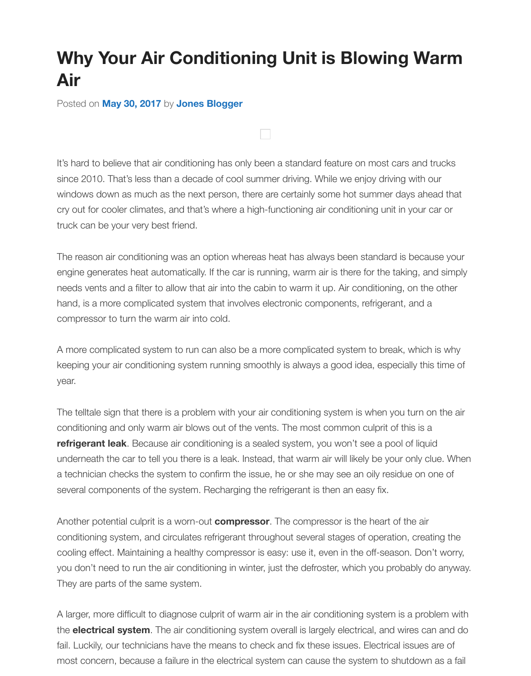## Posted on **May 30, 2017** by **Jones Blogger**

It's hard to believe that air conditioning has only been a standard feature on most cars and truck since 2010. That's less than a decade of cool summer driving. While we enjoy driving with our windows d[own as much a](http://blog.jonesjunction.com/why-your-air-conditioning-unit-is-blowing-warm-air/)s t[he next person, t](http://blog.jonesjunction.com/author/jones-blogger/)here are certainly some hot summer days ahead that cry out for cooler climates, and that's where a high-functioning air conditioning unit in your car or truck can be your very best friend.

The reason air conditioning was an option whereas heat has always been standard is because y engine generates heat automatically. If the car is running, warm air is there for the taking, and sine needs vents and a filter to allow that air into the cabin to warm it up. Air conditioning, on the other hand, is a more complicated system that involves electronic components, refrigerant, and a compressor to turn the warm air into cold.

A more complicated system to run can also be a more complicated system to break, which is w keeping your air conditioning system running smoothly is always a good idea, especially this time year.

The telltale sign that there is a problem with your air conditioning system is when you turn on the conditioning and only warm air blows out of the vents. The most common culprit of this is a **refrigerant leak**. Because air conditioning is a sealed system, you won't see a pool of liquid underneath the car to tell you there is a leak. Instead, that warm air will likely be your only clue. V a technician checks the system to confirm the issue, he or she may see an oily residue on one of several components of the system. Recharging the refrigerant is then an easy fix.

Another potential culprit is a worn-out **compressor**. The compressor is the heart of the air conditioning system, and circulates refrigerant throughout several stages of operation, creating t cooling effect. Maintaining a healthy compressor is easy: use it, even in the off-season. Don't wo you don't need to run the air conditioning in winter, just the defroster, which you probably do any They are parts of the same system.

A larger, more difficult to diagnose culprit of warm air in the air conditioning system is a problem the **electrical system**. The air conditioning system overall is largely electrical, and wires can and fail. Luckily, our technicians have the means to check and fix these issues. Electrical issues are c most concern, because a failure in the electrical system can cause the system to shutdown as a